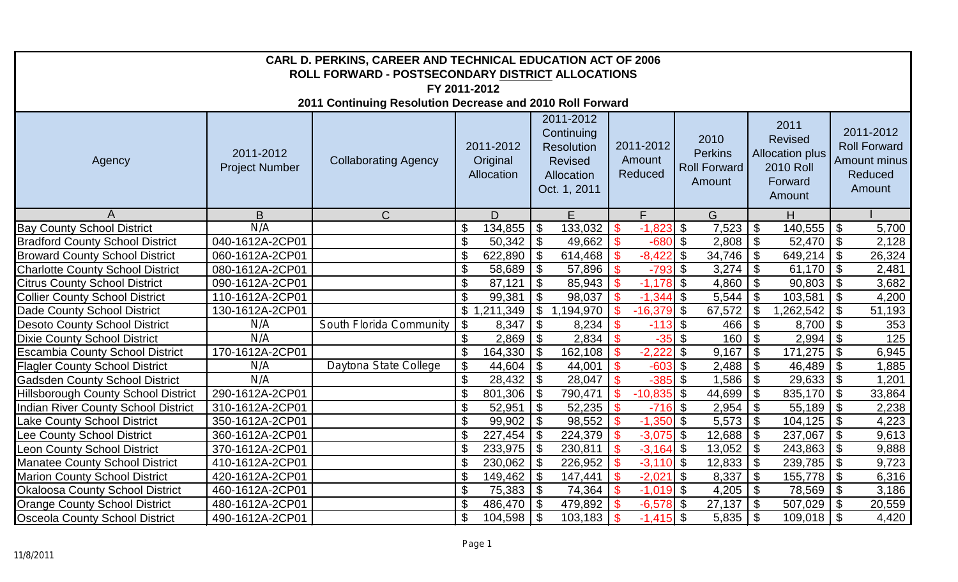| CARL D. PERKINS, CAREER AND TECHNICAL EDUCATION ACT OF 2006<br>ROLL FORWARD - POSTSECONDARY DISTRICT ALLOCATIONS |                                    |                             |                                              |                                                                                              |                                          |                                                         |                                                                                           |                                                                       |  |  |  |
|------------------------------------------------------------------------------------------------------------------|------------------------------------|-----------------------------|----------------------------------------------|----------------------------------------------------------------------------------------------|------------------------------------------|---------------------------------------------------------|-------------------------------------------------------------------------------------------|-----------------------------------------------------------------------|--|--|--|
| FY 2011-2012                                                                                                     |                                    |                             |                                              |                                                                                              |                                          |                                                         |                                                                                           |                                                                       |  |  |  |
| 2011 Continuing Resolution Decrease and 2010 Roll Forward                                                        |                                    |                             |                                              |                                                                                              |                                          |                                                         |                                                                                           |                                                                       |  |  |  |
| Agency                                                                                                           | 2011-2012<br><b>Project Number</b> | <b>Collaborating Agency</b> | 2011-2012<br>Original<br>Allocation          | 2011-2012<br>Continuing<br><b>Resolution</b><br><b>Revised</b><br>Allocation<br>Oct. 1, 2011 | 2011-2012<br>Amount<br>Reduced           | 2010<br><b>Perkins</b><br><b>Roll Forward</b><br>Amount | 2011<br><b>Revised</b><br><b>Allocation plus</b><br><b>2010 Roll</b><br>Forward<br>Amount | 2011-2012<br><b>Roll Forward</b><br>Amount minus<br>Reduced<br>Amount |  |  |  |
|                                                                                                                  | B                                  | $\mathcal{C}$               | D.                                           | $\overline{F}$                                                                               | F.                                       | G                                                       | H                                                                                         |                                                                       |  |  |  |
| <b>Bay County School District</b>                                                                                | N/A                                |                             | \$<br>134,855                                | $\boldsymbol{\mathsf{S}}$<br>133,032                                                         | $-1,823$ \$<br>$\boldsymbol{\mathsf{S}}$ | 7,523                                                   | 140,555<br>$\boldsymbol{\mathsf{\$}}$                                                     | $\boldsymbol{\theta}$<br>5,700                                        |  |  |  |
| <b>Bradford County School District</b>                                                                           | 040-1612A-2CP01                    |                             | \$                                           | 49,662                                                                                       | $-680$ \$<br>$\mathbf{\$}$               | 2,808                                                   | $\boldsymbol{\theta}$<br>$52,470$ \\$                                                     | 2,128                                                                 |  |  |  |
| <b>Broward County School District</b>                                                                            | 060-1612A-2CP01                    |                             | $\boldsymbol{\mathsf{\$}}$<br>622,890        | $\overline{\phantom{a}}$<br>614,468                                                          | $-8,422$<br>$\mathbf{\$}$                | \$<br>34,746                                            | $\boldsymbol{\theta}$<br>649,214                                                          | $\boldsymbol{\mathsf{S}}$<br>26,324                                   |  |  |  |
| <b>Charlotte County School District</b>                                                                          | 080-1612A-2CP01                    |                             | $\mathfrak{S}$<br>$58,689$ \ \$              | 57,896                                                                                       | $-793$ \$                                | 3,274                                                   | $\mathfrak{F}$<br>$61,170$ \$                                                             | 2,481                                                                 |  |  |  |
| <b>Citrus County School District</b>                                                                             | 090-1612A-2CP01                    |                             | \$<br>87,121                                 | $\vert$ \$<br>85,943                                                                         | $-1,178$ \$<br>$\mathbf{\$}$             | 4,860                                                   | $\frac{1}{2}$<br>90,803                                                                   | $\boldsymbol{\mathsf{S}}$<br>3,682                                    |  |  |  |
| <b>Collier County School District</b>                                                                            | 110-1612A-2CP01                    |                             | \$<br>99,381                                 | $\sqrt{3}$<br>98,037                                                                         | $\mathbf{\$}$                            | 5,544                                                   | $\boldsymbol{\mathsf{\$}}$<br>103,581                                                     | $\overline{5}$<br>4,200                                               |  |  |  |
| Dade County School District                                                                                      | 130-1612A-2CP01                    |                             | $\boldsymbol{\mathsf{\$}}$                   | 1,194,970                                                                                    | $\mathbf{\$}$<br>$-16,379$ \$            | 67,572                                                  | $\overline{\mathcal{S}}$<br>1,262,542                                                     | $\overline{\mathcal{S}}$<br>51,193                                    |  |  |  |
| <b>Desoto County School District</b>                                                                             | N/A                                | South Florida Community     | $8,347$ \$<br>\$                             | 8,234                                                                                        | $-113$ \$<br>$\boldsymbol{\mathsf{S}}$   | 466                                                     | $\boldsymbol{\mathsf{S}}$<br>8,700                                                        | $\boldsymbol{\mathsf{S}}$<br>353                                      |  |  |  |
| <b>Dixie County School District</b>                                                                              | N/A                                |                             | \$                                           | 2,834                                                                                        | $\mathbf{\$}$<br>$-35$ \$                | 160                                                     | $\mathfrak{F}$<br>2,994                                                                   | 125<br>$\mathcal{S}$                                                  |  |  |  |
| <b>Escambia County School District</b>                                                                           | 170-1612A-2CP01                    |                             | $\mathcal{S}$<br>$164,330$   \$              | 162,108                                                                                      | $-2,222$<br>$\mathbf{\$}$                | l \$<br>9,167                                           | \$                                                                                        | 6,945                                                                 |  |  |  |
| <b>Flagler County School District</b>                                                                            | N/A                                | Daytona State College       | $\mathcal{S}$<br>$44,604$ \$                 | 44,001                                                                                       | $\mathbf{\hat{s}}$<br>$-603$ \$          | 2,488                                                   | $46,489$ \$<br>$\boldsymbol{\mathsf{S}}$                                                  | 1,885                                                                 |  |  |  |
| <b>Gadsden County School District</b>                                                                            | N/A                                |                             | $\mathcal{S}$                                | 28,047                                                                                       | $-385$ \$<br>$\mathbf{\$}$               | 1,586                                                   | $29,633$ \$<br>$\boldsymbol{\mathsf{S}}$                                                  | 1,201                                                                 |  |  |  |
| <b>Hillsborough County School District</b>                                                                       | 290-1612A-2CP01                    |                             | $\boldsymbol{\mathsf{S}}$<br>$801,306$ \$    | 790,471                                                                                      | $-10,835$ \$<br>$\mathfrak{L}$           | 44,699                                                  | $\boldsymbol{\mathsf{S}}$<br>835,170                                                      | $\boldsymbol{\mathsf{S}}$<br>33,864                                   |  |  |  |
| <b>Indian River County School District</b>                                                                       | 310-1612A-2CP01                    |                             | $\boldsymbol{\mathsf{\$}}$<br>52,951         | $\vert$ \$<br>52,235                                                                         | $-716$ \$                                | 2,954                                                   | $\mathfrak{S}$<br>55,189                                                                  | $\sqrt{3}$<br>2,238                                                   |  |  |  |
| Lake County School District                                                                                      | 350-1612A-2CP01                    |                             | \$<br>$99,902$   \$                          | 98,552                                                                                       | $-1,350$ \$                              | 5,573                                                   | $\mathfrak{F}$<br>104,125                                                                 | $\mathcal{S}$<br>4,223                                                |  |  |  |
| Lee County School District                                                                                       | 360-1612A-2CP01                    |                             | \$<br>$227,454$ \ \$                         | 224,379                                                                                      | $\mathbf{\$}$<br>$-3,075$ \$             | 12,688                                                  | $\boldsymbol{\mathcal{S}}$<br>237,067                                                     | $\boldsymbol{\mathsf{S}}$<br>9,613                                    |  |  |  |
| <b>Leon County School District</b>                                                                               | 370-1612A-2CP01                    |                             | $\boldsymbol{\mathsf{S}}$<br>$233,975$ \$    | 230,811                                                                                      | $-3,164$ \$<br>l \$                      | 13,052                                                  | $\overline{\mathbf{G}}$<br>243,863                                                        | $\boldsymbol{\mathsf{S}}$<br>9,888                                    |  |  |  |
| <b>Manatee County School District</b>                                                                            | 410-1612A-2CP01                    |                             | $\mathfrak{S}$<br>$230,062$ \$               | 226,952                                                                                      | $-3,110$ \$<br>$\mathbf{\$}$             | 12,833                                                  | $\overline{\mathbf{s}}$<br>239,785                                                        | $\boldsymbol{\mathsf{S}}$<br>9,723                                    |  |  |  |
| <b>Marion County School District</b>                                                                             | 420-1612A-2CP01                    |                             | $\boldsymbol{\mathsf{\$}}$<br>$149,462$ \ \$ | 147,441                                                                                      | $-2,021$ \$<br>$\sqrt[6]{3}$             | 8,337                                                   | $\overline{\mathbf{3}}$<br>155,778                                                        | $\boldsymbol{\mathsf{\$}}$<br>6,316                                   |  |  |  |
| <b>Okaloosa County School District</b>                                                                           | 460-1612A-2CP01                    |                             | \$<br>75,383   \$                            | 74,364                                                                                       | $-1,019$ \$<br>$\mathbf{\$}$             | 4,205                                                   | $\boldsymbol{\mathsf{S}}$<br>$78,569$ \$                                                  | 3,186                                                                 |  |  |  |
| <b>Orange County School District</b>                                                                             | 480-1612A-2CP01                    |                             | \$<br>486,470   \$                           | 479,892                                                                                      | $-6,578$ \$                              | 27,137                                                  | \$<br>507,029                                                                             | \$<br>20,559                                                          |  |  |  |
| <b>Osceola County School District</b>                                                                            | 490-1612A-2CP01                    |                             | \$<br>$104,598$ \ \$                         | 103,183                                                                                      | $-1,415$ \$<br>$\mathfrak{S}$            | 5,835                                                   | \$<br>$109,018$ \$                                                                        | 4,420                                                                 |  |  |  |